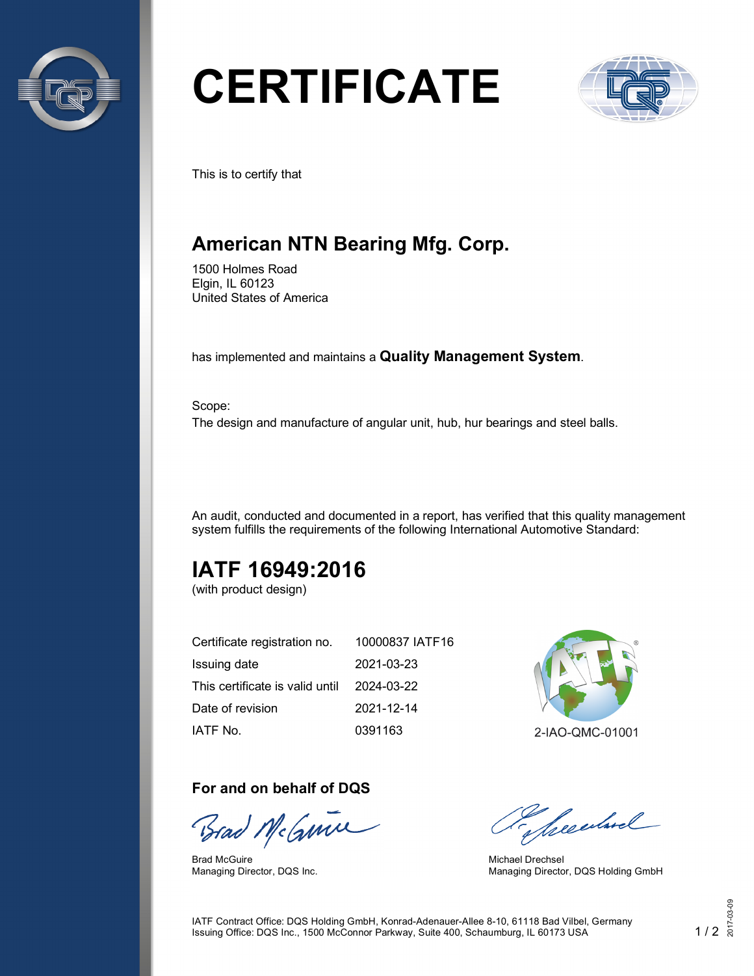

# **CERTIFICATE**



This is to certify that

## **American NTN Bearing Mfg. Corp.**

1500 Holmes Road Elgin, IL 60123 United States of America

has implemented and maintains a **Quality Management System**.

Scope: The design and manufacture of angular unit, hub, hur bearings and steel balls.

An audit, conducted and documented in a report, has verified that this quality management system fulfills the requirements of the following International Automotive Standard:

## **IATF 16949:2016**

(with product design)

| Certificate registration no.    | 10000837 IATF16 |
|---------------------------------|-----------------|
| Issuing date                    | 2021-03-23      |
| This certificate is valid until | 2024-03-22      |
| Date of revision                | 2021-12-14      |
| IATF No.                        | 0391163         |

#### **For and on behalf of DQS**

Brad McGume

Brad McGuire Managing Director, DQS Inc.



2-IAO-QMC-01001

presentand

Michael Drechsel Managing Director, DQS Holding GmbH

IATF Contract Office: DQS Holding GmbH, Konrad-Adenauer-Allee 8-10, 61118 Bad Vilbel, Germany Issuing Office: DQS Inc., 1500 McConnor Parkway, Suite 400, Schaumburg, IL 60173 USA